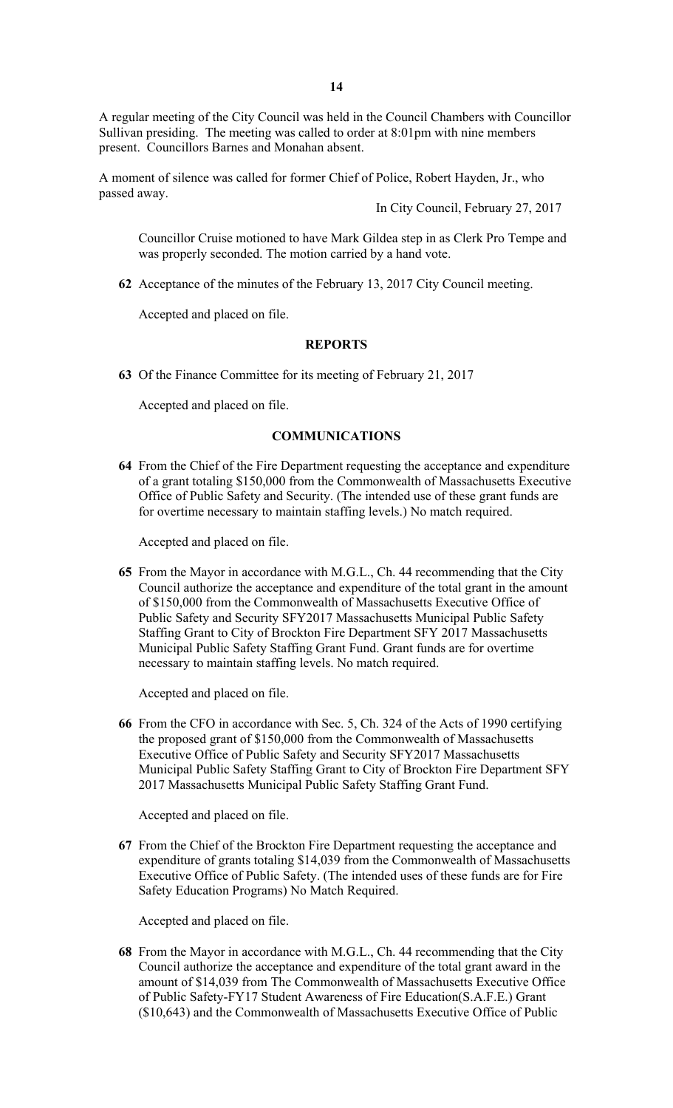A regular meeting of the City Council was held in the Council Chambers with Councillor Sullivan presiding. The meeting was called to order at 8:01pm with nine members present. Councillors Barnes and Monahan absent.

A moment of silence was called for former Chief of Police, Robert Hayden, Jr., who passed away.

In City Council, February 27, 2017

Councillor Cruise motioned to have Mark Gildea step in as Clerk Pro Tempe and was properly seconded. The motion carried by a hand vote.

**62** Acceptance of the minutes of the February 13, 2017 City Council meeting.

Accepted and placed on file.

### **REPORTS**

**63** Of the Finance Committee for its meeting of February 21, 2017

Accepted and placed on file.

## **COMMUNICATIONS**

**64** From the Chief of the Fire Department requesting the acceptance and expenditure of a grant totaling \$150,000 from the Commonwealth of Massachusetts Executive Office of Public Safety and Security. (The intended use of these grant funds are for overtime necessary to maintain staffing levels.) No match required.

Accepted and placed on file.

**65** From the Mayor in accordance with M.G.L., Ch. 44 recommending that the City Council authorize the acceptance and expenditure of the total grant in the amount of \$150,000 from the Commonwealth of Massachusetts Executive Office of Public Safety and Security SFY2017 Massachusetts Municipal Public Safety Staffing Grant to City of Brockton Fire Department SFY 2017 Massachusetts Municipal Public Safety Staffing Grant Fund. Grant funds are for overtime necessary to maintain staffing levels. No match required.

Accepted and placed on file.

**66** From the CFO in accordance with Sec. 5, Ch. 324 of the Acts of 1990 certifying the proposed grant of \$150,000 from the Commonwealth of Massachusetts Executive Office of Public Safety and Security SFY2017 Massachusetts Municipal Public Safety Staffing Grant to City of Brockton Fire Department SFY 2017 Massachusetts Municipal Public Safety Staffing Grant Fund.

Accepted and placed on file.

**67** From the Chief of the Brockton Fire Department requesting the acceptance and expenditure of grants totaling \$14,039 from the Commonwealth of Massachusetts Executive Office of Public Safety. (The intended uses of these funds are for Fire Safety Education Programs) No Match Required.

Accepted and placed on file.

**68** From the Mayor in accordance with M.G.L., Ch. 44 recommending that the City Council authorize the acceptance and expenditure of the total grant award in the amount of \$14,039 from The Commonwealth of Massachusetts Executive Office of Public Safety-FY17 Student Awareness of Fire Education(S.A.F.E.) Grant (\$10,643) and the Commonwealth of Massachusetts Executive Office of Public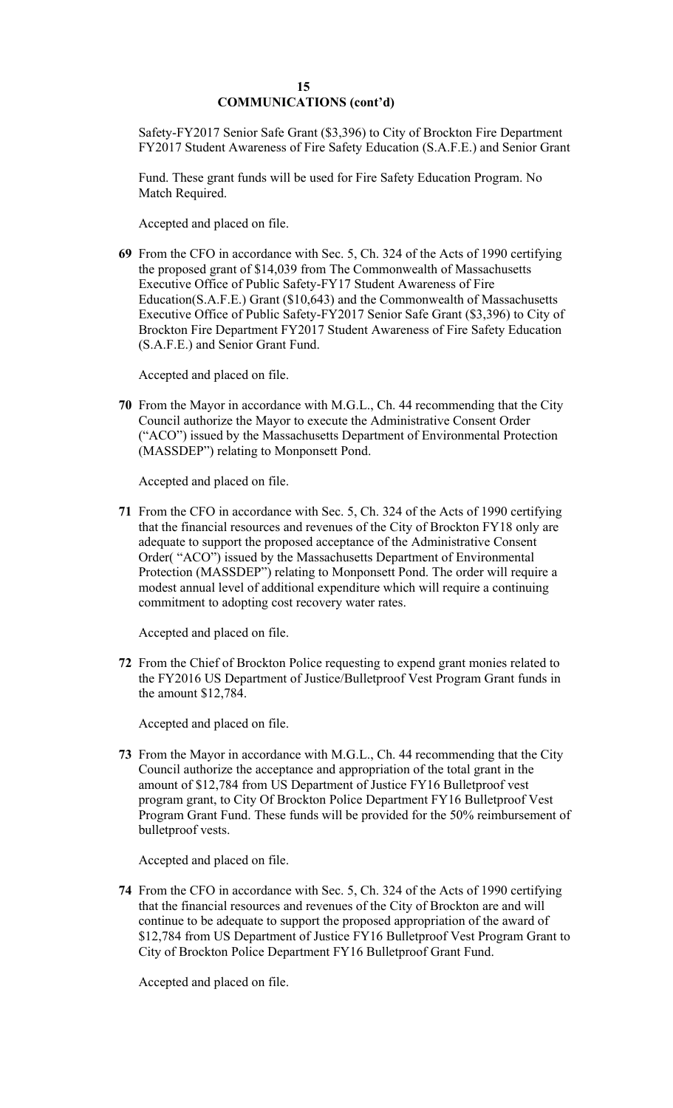# **15 COMMUNICATIONS (cont'd)**

Safety-FY2017 Senior Safe Grant (\$3,396) to City of Brockton Fire Department FY2017 Student Awareness of Fire Safety Education (S.A.F.E.) and Senior Grant

Fund. These grant funds will be used for Fire Safety Education Program. No Match Required.

Accepted and placed on file.

**69** From the CFO in accordance with Sec. 5, Ch. 324 of the Acts of 1990 certifying the proposed grant of \$14,039 from The Commonwealth of Massachusetts Executive Office of Public Safety-FY17 Student Awareness of Fire Education(S.A.F.E.) Grant (\$10,643) and the Commonwealth of Massachusetts Executive Office of Public Safety-FY2017 Senior Safe Grant (\$3,396) to City of Brockton Fire Department FY2017 Student Awareness of Fire Safety Education (S.A.F.E.) and Senior Grant Fund.

Accepted and placed on file.

**70** From the Mayor in accordance with M.G.L., Ch. 44 recommending that the City Council authorize the Mayor to execute the Administrative Consent Order ("ACO") issued by the Massachusetts Department of Environmental Protection (MASSDEP") relating to Monponsett Pond.

Accepted and placed on file.

**71** From the CFO in accordance with Sec. 5, Ch. 324 of the Acts of 1990 certifying that the financial resources and revenues of the City of Brockton FY18 only are adequate to support the proposed acceptance of the Administrative Consent Order( "ACO") issued by the Massachusetts Department of Environmental Protection (MASSDEP") relating to Monponsett Pond. The order will require a modest annual level of additional expenditure which will require a continuing commitment to adopting cost recovery water rates.

Accepted and placed on file.

**72** From the Chief of Brockton Police requesting to expend grant monies related to the FY2016 US Department of Justice/Bulletproof Vest Program Grant funds in the amount \$12,784.

Accepted and placed on file.

**73** From the Mayor in accordance with M.G.L., Ch. 44 recommending that the City Council authorize the acceptance and appropriation of the total grant in the amount of \$12,784 from US Department of Justice FY16 Bulletproof vest program grant, to City Of Brockton Police Department FY16 Bulletproof Vest Program Grant Fund. These funds will be provided for the 50% reimbursement of bulletproof vests.

Accepted and placed on file.

**74** From the CFO in accordance with Sec. 5, Ch. 324 of the Acts of 1990 certifying that the financial resources and revenues of the City of Brockton are and will continue to be adequate to support the proposed appropriation of the award of \$12,784 from US Department of Justice FY16 Bulletproof Vest Program Grant to City of Brockton Police Department FY16 Bulletproof Grant Fund.

Accepted and placed on file.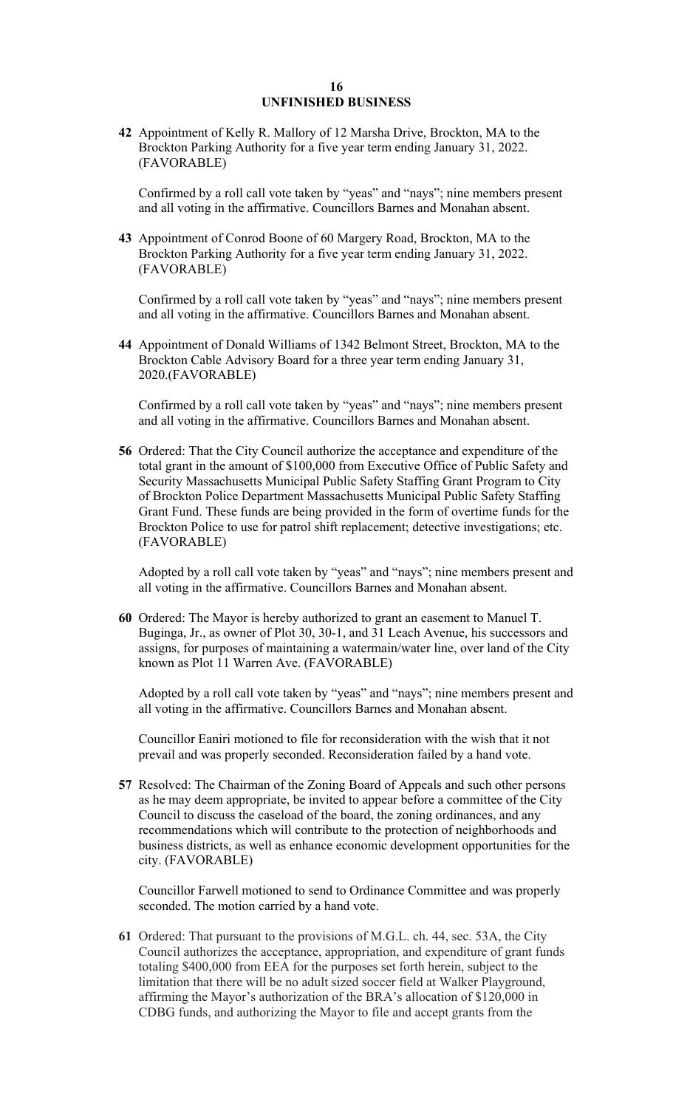### **16 UNFINISHED BUSINESS**

**42** Appointment of Kelly R. Mallory of 12 Marsha Drive, Brockton, MA to the Brockton Parking Authority for a five year term ending January 31, 2022. (FAVORABLE)

Confirmed by a roll call vote taken by "yeas" and "nays"; nine members present and all voting in the affirmative. Councillors Barnes and Monahan absent.

**43** Appointment of Conrod Boone of 60 Margery Road, Brockton, MA to the Brockton Parking Authority for a five year term ending January 31, 2022. (FAVORABLE)

Confirmed by a roll call vote taken by "yeas" and "nays"; nine members present and all voting in the affirmative. Councillors Barnes and Monahan absent.

**44** Appointment of Donald Williams of 1342 Belmont Street, Brockton, MA to the Brockton Cable Advisory Board for a three year term ending January 31, 2020.(FAVORABLE)

Confirmed by a roll call vote taken by "yeas" and "nays"; nine members present and all voting in the affirmative. Councillors Barnes and Monahan absent.

**56** Ordered: That the City Council authorize the acceptance and expenditure of the total grant in the amount of \$100,000 from Executive Office of Public Safety and Security Massachusetts Municipal Public Safety Staffing Grant Program to City of Brockton Police Department Massachusetts Municipal Public Safety Staffing Grant Fund. These funds are being provided in the form of overtime funds for the Brockton Police to use for patrol shift replacement; detective investigations; etc. (FAVORABLE)

Adopted by a roll call vote taken by "yeas" and "nays"; nine members present and all voting in the affirmative. Councillors Barnes and Monahan absent.

**60** Ordered: The Mayor is hereby authorized to grant an easement to Manuel T. Buginga, Jr., as owner of Plot 30, 30-1, and 31 Leach Avenue, his successors and assigns, for purposes of maintaining a watermain/water line, over land of the City known as Plot 11 Warren Ave. (FAVORABLE)

Adopted by a roll call vote taken by "yeas" and "nays"; nine members present and all voting in the affirmative. Councillors Barnes and Monahan absent.

Councillor Eaniri motioned to file for reconsideration with the wish that it not prevail and was properly seconded. Reconsideration failed by a hand vote.

**57** Resolved: The Chairman of the Zoning Board of Appeals and such other persons as he may deem appropriate, be invited to appear before a committee of the City Council to discuss the caseload of the board, the zoning ordinances, and any recommendations which will contribute to the protection of neighborhoods and business districts, as well as enhance economic development opportunities for the city. (FAVORABLE)

Councillor Farwell motioned to send to Ordinance Committee and was properly seconded. The motion carried by a hand vote.

**61** Ordered: That pursuant to the provisions of M.G.L. ch. 44, sec. 53A, the City Council authorizes the acceptance, appropriation, and expenditure of grant funds totaling \$400,000 from EEA for the purposes set forth herein, subject to the limitation that there will be no adult sized soccer field at Walker Playground, affirming the Mayor's authorization of the BRA's allocation of \$120,000 in CDBG funds, and authorizing the Mayor to file and accept grants from the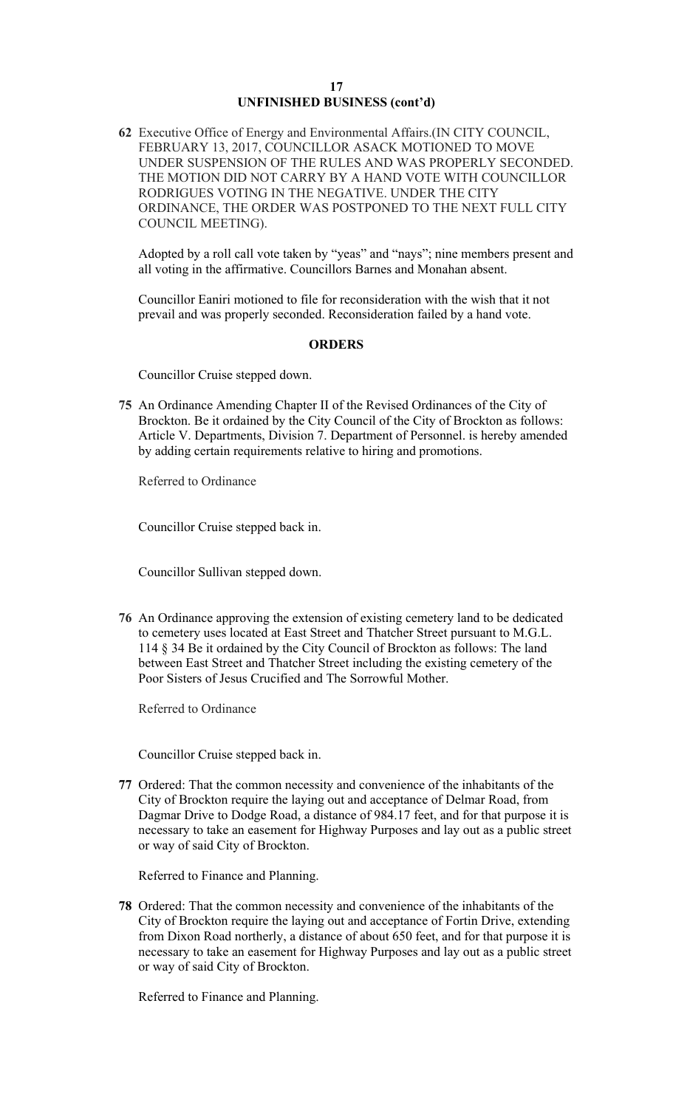# **17 UNFINISHED BUSINESS (cont'd)**

**62** Executive Office of Energy and Environmental Affairs.(IN CITY COUNCIL, FEBRUARY 13, 2017, COUNCILLOR ASACK MOTIONED TO MOVE UNDER SUSPENSION OF THE RULES AND WAS PROPERLY SECONDED. THE MOTION DID NOT CARRY BY A HAND VOTE WITH COUNCILLOR RODRIGUES VOTING IN THE NEGATIVE. UNDER THE CITY ORDINANCE, THE ORDER WAS POSTPONED TO THE NEXT FULL CITY COUNCIL MEETING).

Adopted by a roll call vote taken by "yeas" and "nays"; nine members present and all voting in the affirmative. Councillors Barnes and Monahan absent.

Councillor Eaniri motioned to file for reconsideration with the wish that it not prevail and was properly seconded. Reconsideration failed by a hand vote.

#### **ORDERS**

Councillor Cruise stepped down.

**75** An Ordinance Amending Chapter II of the Revised Ordinances of the City of Brockton. Be it ordained by the City Council of the City of Brockton as follows: Article V. Departments, Division 7. Department of Personnel. is hereby amended by adding certain requirements relative to hiring and promotions.

Referred to Ordinance

Councillor Cruise stepped back in.

Councillor Sullivan stepped down.

**76** An Ordinance approving the extension of existing cemetery land to be dedicated to cemetery uses located at East Street and Thatcher Street pursuant to M.G.L. 114 § 34 Be it ordained by the City Council of Brockton as follows: The land between East Street and Thatcher Street including the existing cemetery of the Poor Sisters of Jesus Crucified and The Sorrowful Mother.

Referred to Ordinance

Councillor Cruise stepped back in.

**77** Ordered: That the common necessity and convenience of the inhabitants of the City of Brockton require the laying out and acceptance of Delmar Road, from Dagmar Drive to Dodge Road, a distance of 984.17 feet, and for that purpose it is necessary to take an easement for Highway Purposes and lay out as a public street or way of said City of Brockton.

Referred to Finance and Planning.

**78** Ordered: That the common necessity and convenience of the inhabitants of the City of Brockton require the laying out and acceptance of Fortin Drive, extending from Dixon Road northerly, a distance of about 650 feet, and for that purpose it is necessary to take an easement for Highway Purposes and lay out as a public street or way of said City of Brockton.

Referred to Finance and Planning.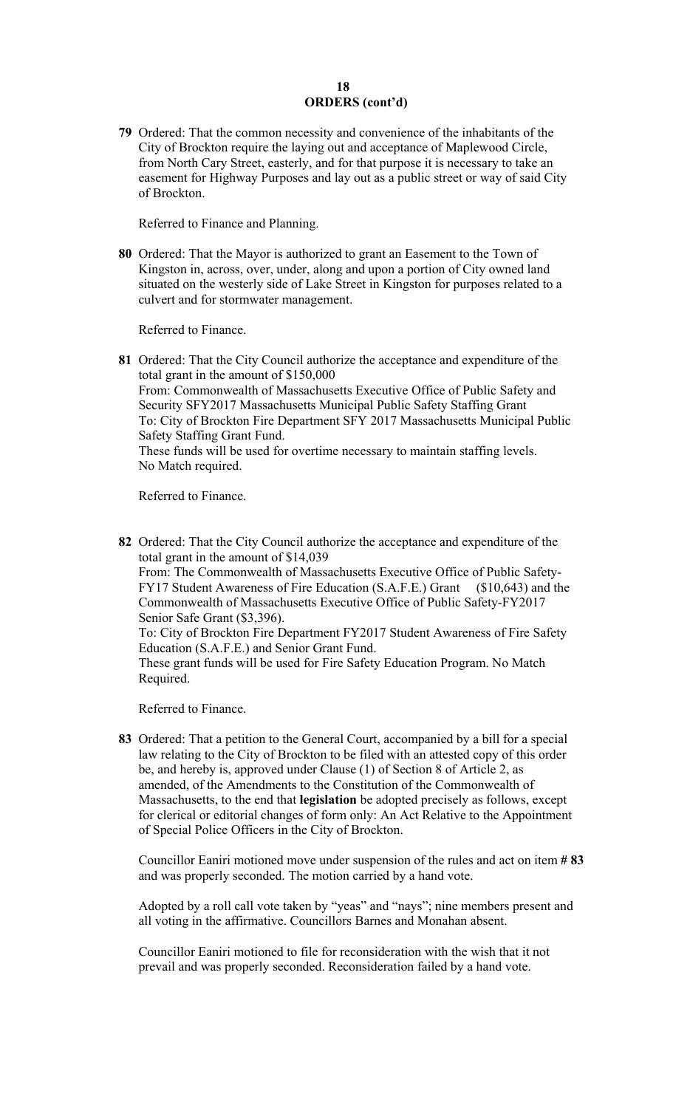# **18 ORDERS (cont'd)**

**79** Ordered: That the common necessity and convenience of the inhabitants of the City of Brockton require the laying out and acceptance of Maplewood Circle, from North Cary Street, easterly, and for that purpose it is necessary to take an easement for Highway Purposes and lay out as a public street or way of said City of Brockton.

Referred to Finance and Planning.

**80** Ordered: That the Mayor is authorized to grant an Easement to the Town of Kingston in, across, over, under, along and upon a portion of City owned land situated on the westerly side of Lake Street in Kingston for purposes related to a culvert and for stormwater management.

Referred to Finance.

**81** Ordered: That the City Council authorize the acceptance and expenditure of the total grant in the amount of \$150,000 From: Commonwealth of Massachusetts Executive Office of Public Safety and Security SFY2017 Massachusetts Municipal Public Safety Staffing Grant To: City of Brockton Fire Department SFY 2017 Massachusetts Municipal Public Safety Staffing Grant Fund. These funds will be used for overtime necessary to maintain staffing levels. No Match required.

Referred to Finance.

**82** Ordered: That the City Council authorize the acceptance and expenditure of the total grant in the amount of \$14,039 From: The Commonwealth of Massachusetts Executive Office of Public Safety-FY17 Student Awareness of Fire Education (S.A.F.E.) Grant (\$10,643) and the Commonwealth of Massachusetts Executive Office of Public Safety-FY2017 Senior Safe Grant (\$3,396). To: City of Brockton Fire Department FY2017 Student Awareness of Fire Safety Education (S.A.F.E.) and Senior Grant Fund. These grant funds will be used for Fire Safety Education Program. No Match Required.

Referred to Finance.

**83** Ordered: That a petition to the General Court, accompanied by a bill for a special law relating to the City of Brockton to be filed with an attested copy of this order be, and hereby is, approved under Clause (1) of Section 8 of Article 2, as amended, of the Amendments to the Constitution of the Commonwealth of Massachusetts, to the end that **legislation** be adopted precisely as follows, except for clerical or editorial changes of form only: An Act Relative to the Appointment of Special Police Officers in the City of Brockton.

Councillor Eaniri motioned move under suspension of the rules and act on item **# 83**  and was properly seconded. The motion carried by a hand vote.

Adopted by a roll call vote taken by "yeas" and "nays"; nine members present and all voting in the affirmative. Councillors Barnes and Monahan absent.

Councillor Eaniri motioned to file for reconsideration with the wish that it not prevail and was properly seconded. Reconsideration failed by a hand vote.